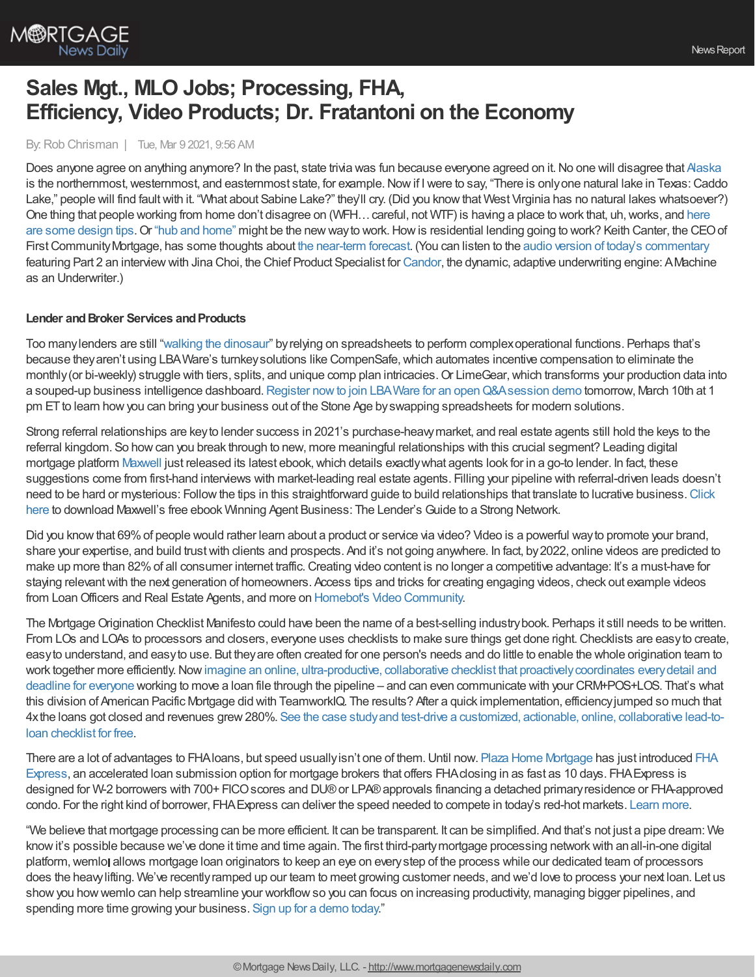

# **Sales Mgt., MLO Jobs; Processing, FHA, Efficiency, Video Products; Dr. Fratantoni on the Economy**

By: Rob Chrisman | Tue, Mar 9 2021, 9:56 AM

Does anyone agree on anything anymore? In the past, state trivia was fun because everyone agreed on it. No one will disagree that [Alaska](https://www.sporcle.com/blog/2018/04/which-states-are-the-farthest-north-south-east-and-west/#:~:text=Take%20Alaska%20out%20of%20the,west%20of%20the%2048%20states.) is the northernmost, westernmost, and easternmost state, for example. Now if I were to say, "There is only one natural lake in Texas: Caddo Lake," people will find fault with it. "What about Sabine Lake?" they'll cry. (Did you know that West Virginia has no natural lakes whatsoever?) One thing that people working from home don't disagree on [\(WFH…careful,](https://www.builderonline.com/design/projects/modern-day-home-office-design-tips-for-your-future-projects_o) not WTF) is having a place to work that, uh,works, and here are some design tips. Or "hub and [home"](https://www.axios.com/what-one-eagan-minnesota-company-office-strategy-says-about-future-work-9e031916-7714-4b28-8309-f26fb5da2ea8.html?) might be the new way to work. How is residential lending going to work? Keith Canter, the CEO of First Community Mortgage, has some thoughts about the [near-term](https://www.nasdaq.com/articles/mortgage-forecast%253A-sunny-with-intermittent-clouds-2021-03-03) forecast. (You can listen to the audio version of today's [commentary](https://linktr.ee/dailymortgagenews) featuring Part 2 an interview with Jina Choi, the Chief Product Specialist for [Candor,](https://candortechnology.com/rchrisman-podcast) the dynamic, adaptive underwriting engine: AMachine as an Underwriter.)

#### **Lender and Broker Services and Products**

Too manylenders are still "walking the [dinosaur](https://www.youtube.com/watch?v=zYKupOsaJmk&ab_channel=WasNotWasVEVO)" byrelying on spreadsheets to perform complexoperational functions. Perhaps that's because they aren't using LBAWare's turnkey solutions like CompenSafe, which automates incentive compensation to eliminate the monthly (or bi-weekly) struggle with tiers, splits, and unique comp plan intricacies. Or LimeGear, which transforms your production data into a souped-up business intelligence dashboard. Register now to join LBA Ware for an open Q&A session demo tomorrow, March 10th at 1 pm ET to learn how you can bring your business out of the Stone Age by swapping spreadsheets for modern solutions.

Strong referral relationships are keyto lender success in 2021's purchase-heavymarket, and real estate agents still hold the keys to the referral kingdom. So howcan you break through to new, more meaningful relationships with this crucial segment? Leading digital mortgage platform [Maxwell](https://himaxwell.com/?utm_source=RC&utm_medium=RC_Content) just released its latest ebook, which details exactly what agents look for in a go-to lender. In fact, these suggestions come from first-hand interviews with market-leading real estate agents. Filling your pipeline with referral-driven leads doesn't need to be hard or mysterious: Followthe tips in this straightforward guide to build relationships that translate to lucrative [business.Click](https://himaxwell.com/ebook-winning-agent-business-2021?utm_source=RC&utm_medium=RC_Content) here to download Maxwell's free ebook Winning Agent Business: The Lender's Guide to a Strong Network.

Did you know that 69% of people would rather learn about a product or service via video? Video is a powerful way to promote your brand, share your expertise, and build trustwith clients and prospects. And it's not going anywhere. In fact, by2022, online videos are predicted to make up more than 82% of all consumer internet traffic. Creating video content is no longer a competitive advantage: It's a must-have for staying relevant with the next generation of homeowners. Access tips and tricks for creating engaging videos, check out example videos from LoanOfficers and Real Estate Agents, and more on Homebot's Video [Community](https://homebot.ai/video-community?utm_source=chrisman&utm_medium=website&utm_campaign=mar5).

The Mortgage Origination Checklist Manifesto could have been the name of a best-selling industry book. Perhaps it still needs to be written. From LOs and LOAs to processors and closers, everyone uses checklists to make sure things get done right.Checklists are easyto create, easyto understand, and easyto use. But theyare often created for one person's needs and do little to enable the whole origination team to work together more efficiently. Now imagine an online, ultra-productive, collaborative checklist that proactively coordinates every detail and deadline for everyone working to move a loan file through the pipeline – and can even communicate with your CRM+POS+LOS. That's what this division of American Pacific Mortgage did with TeamworkIQ. The results? After a quick implementation, efficiencyjumped so much that 4xthe loans got closed and revenues grew280%. See the case studyand test-drive a customized, actionable, online, [collaborative](https://teamworkiq.com/american-pacific-mortgage-case-study/?utm_campaign=mortgage&utm_source=robchrisman.com&utm_content=the-mortgage-checklist-manifesto-free-checklist) lead-toloan checklist for free.

There are a lot of advantages to FHAloans, but speed usuallyisn't one of them.Until now. Plaza Home [Mortgage](http://plazahomemortgage.com/) has just introduced FHA Express, an accelerated loan submission option for mortgage brokers that offers FHAclosing in as fast as 10 days. [FHAExpress](https://hubs.ly/H0Hyngp0) is designed for W-2 borrowers with 700+ FICO scores and DU® or LPA® approvals financing a detached primary residence or FHA-approved condo. For the right kind of borrower, FHAExpress can deliver the speed needed to compete in today's red-hot markets. [Learn](https://hubs.ly/H0Hyngp0) more.

"We believe that mortgage processing can be more efficient. It can be transparent. It can be simplified. And that's not just a pipe dream: We knowit's possible because we've done it time and time again. The first third-partymortgage processing networkwith anall-in-one digital platform, wemlo allows mortgage loan originators to keep an eye on every step of the process while our dedicated team of processors does the heavylifting. We've recentlyramped up our team to meet growing customer needs, and we'd love to process your next loan. Let us showyou howwemlo can help streamline your workflowso you can focus on increasing productivity, managing bigger pipelines, and spending more time growing your business. Sign up for a [demo](https://bit.ly/3rSlIYb) today."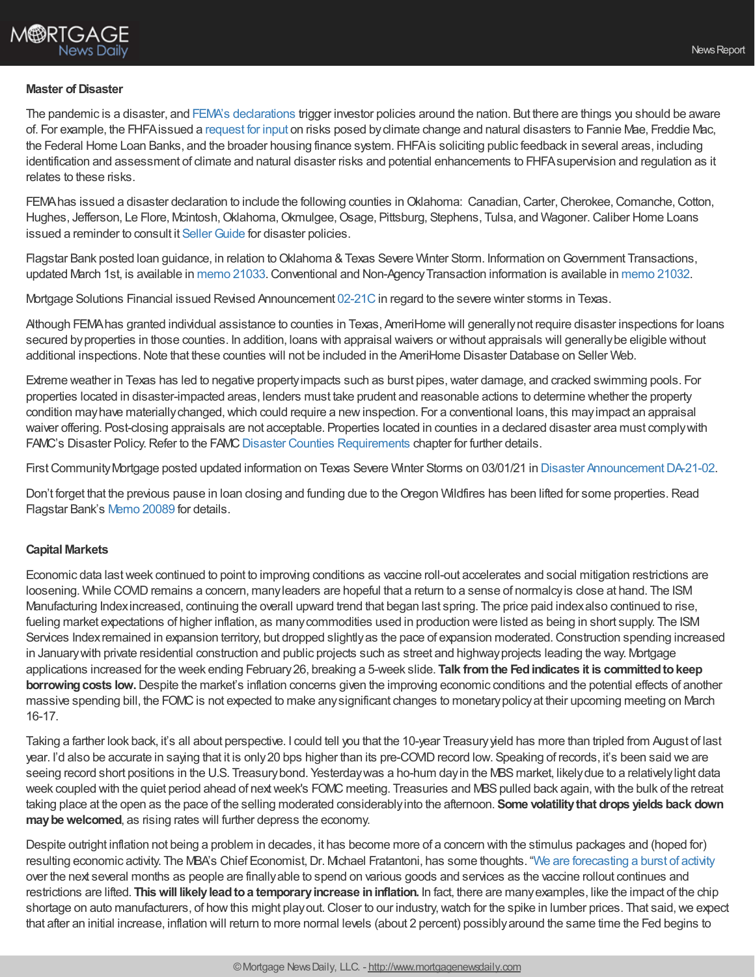# **M®RTGAGE** News Dailv

#### **Master of Disaster**

The pandemic is a disaster, and FEMA's [declarations](https://www.fema.gov/disasters/disaster-declarations) trigger investor policies around the nation. But there are things you should be aware of. For example, the FHFAissued a [request](http://r20.rs6.net/tn.jsp?f=001EpL_bkDYLaW1xwSLL7y-6sRJ81mM1A2tsOxJlMY1xgnWsa1K_7xL8_P_KelJzXt4bWouOFNZjN6uLVHHeV1s4CypSQX0kbHeh51bX1uCXBHJ3IyoOlRxOQhD_s_ItjVeRpRnWf7WJZiQ9dyu5Tvkq7ZVwj2TN4sjjqrzOzgAozK6-v9tBBkCzfVJB9aaUev5klAsS97RdR5gyHkFiCF7yvSZvs6OrVyVsAHgiTVvzbCOfhAsaJuDAcaXH1zSO9bAXgApk18-84qCbkN6Tg7e7Bk8loFNvGUeDfRlGbxOBu45FkJ1u8QFVqeKGSOCa-a26qRWBty0OvWpupT3Y2XMdvUn83P77iEF32uyyw0s-ZaWQ4MdDxvqPW1hFvxonCnzgO0J6tfbZ-hvQXkbW7uyquC2hGSiDP4khYTHCvNrGF1Z3js0PvOZAPd8bDjy8zKa4Fh05LNOdLAeh3zMPr1wrSKbIvETlAGD8oCjY7c_OhNH-OKGhqBicQ==&c=XsQ-fpLcSvzzHBs--DElhZZ15H2rKqYs1qR_saucKM-NXO1qWqe5lQ==&ch=Ov1cKZ81WjA-4mkWZcSNuPJOs2AMTVS18ORXLK1pidRyfT5RC_DcFw==) for input on risks posed byclimate change and natural disasters to Fannie Mae, Freddie Mac, the Federal Home Loan Banks, and the broader housing finance system. FHFAis soliciting public feedback in several areas, including identification and assessment of climate and natural disaster risks and potential enhancements to FHFA supervision and regulation as it relates to these risks.

FEMA has issued a disaster declaration to include the following counties in Oklahoma: Canadian, Carter, Cherokee, Comanche, Cotton, Hughes, Jefferson, Le Flore, Mcintosh, Oklahoma, Okmulgee, Osage, Pittsburg, Stephens, Tulsa, and Wagoner. Caliber Home Loans issued a reminder to consult it Seller Guide for disaster policies.

Flagstar Bank posted loan guidance, in relation to Oklahoma & Texas Severe Winter Storm. Information on Government Transactions, updated March 1st, is available in [memo](https://www.flagstar.com/content/dam/tpo/sellers-guide/announcements/21032.pdf) 21033. Conventional and Non-Agency Transaction information is available in memo 21032.

Mortgage Solutions Financial issued Revised Announcement [02-21C](http://r20.rs6.net/tn.jsp?f=0015FhAcqehxkvaYmRMzcYPtI88GU41V7bzBxxQ8mH1d9IksiVT_oxmZ_bvFCK905wbKCuY1_HCWRmrx2t6-vi_sLX1BHP5fkPV-2h511iZkWp9U0ppEWAspIydVcnio8SxiQi8Ty9Q2LGEewjQR_aYmvGEzDJzGyJcVkgwM9dbWtUk3bRF-ydj428Y2mCWte-GPf1-d7Ouo-e8n_cNMLWIzZ9hfaAm4bdhWk6wtIR-4sg=&c=eUqFC6RxftyyUSfLssUuyBxwmSK-g5mm_kF-GFHzFERKhfmcd0j3FA==&ch=dnX9-kegzgSv71goI6HgnVh92LwKkswgDGEYsAkwuGVjdaZ8UlvwXQ==) in regard to the severe winter storms in Texas.

Although FEMAhas granted individual assistance to counties in Texas, AmeriHome will generallynot require disaster inspections for loans secured byproperties in those counties. In addition, loans with appraisal waivers or without appraisals will generallybe eligible without additional inspections.Note that these counties will not be included in the AmeriHome Disaster Database on Seller Web.

Extreme weather in Texas has led to negative property impacts such as burst pipes, water damage, and cracked swimming pools. For properties located in disaster-impacted areas, lenders must take prudent and reasonable actions to determine whether the property condition mayhave materiallychanged,which could require a newinspection. For a conventional loans, this mayimpact an appraisal waiver offering. Post-closing appraisals are not acceptable. Properties located in counties in a declared disaster area must complywith FAMC's Disaster Policy. Refer to the FAMC Disaster Counties [Requirements](https://lendingpartners.franklinamerican.com/wiki/_media/public_extranet/correspondent_manual/cman_disasterrequirementschapter.pdf) chapter for further details.

First Community Mortgage posted updated information on Texas Severe Winter Storms on 03/01/21 in Disaster Announcement DA-21-02.

Don't forget that the previous pause in loan closing and funding due to the Oregon Wildfires has been lifted for some properties. Read Flagstar Bank's Memo [20089](https://www.flagstar.com/content/dam/tpo/sellers-guide/announcements/20089.pdf) for details.

### **Capital Markets**

Economic data lastweek continued to point to improving conditions as vaccine roll-out accelerates and social mitigation restrictions are loosening. While COVID remains a concern, many leaders are hopeful that a return to a sense of normalcy is close at hand. The ISM Manufacturing Indexincreased, continuing the overall upward trend that began last spring. The price paid indexalso continued to rise, fueling market expectations of higher inflation, as many commodities used in production were listed as being in short supply. The ISM Services Index remained in expansion territory, but dropped slightly as the pace of expansion moderated. Construction spending increased in Januarywith private residential construction and public projects such as street and highwayprojects leading the way. Mortgage applications increased for the week ending February26, breaking a 5-week slide. **Talk fromthe Fedindicates it is committedtokeep borrowing costs low.** Despite the market's inflation concerns given the improving economic conditions and the potential effects of another massive spending bill, the FOMC is not expected to make any significant changes to monetary policy at their upcoming meeting on March 16-17.

Taking a farther look back, it's all about perspective. I could tell you that the 10-year Treasuryyield has more than tripled from August of last year. I'd also be accurate in saying that it is only 20 bps higher than its pre-COVID record low. Speaking of records, it's been said we are seeing record short positions in the U.S. Treasury bond. Yesterday was a ho-hum day in the MBS market, likely due to a relatively light data week coupled with the quiet period ahead of next week's FOMC meeting. Treasuries and MBS pulled back again, with the bulk of the retreat taking place at the open as the pace of the selling moderated considerablyinto the afternoon. **Some volatilitythat drops yields back down** may be welcomed, as rising rates will further depress the economy.

Despite outright inflation not being a problem in decades, it has become more of a concern with the stimulus packages and (hoped for) resulting economic activity. The MBA's Chief Economist, Dr. Michael Fratantoni, has some thoughts. "We are [forecasting](https://www.mba.org/news-research-and-resources/research-and-economics/forecasts-and-commentary) a burst of activity over the next several months as people are finallyable to spend on various goods and services as the vaccine rollout continues and restrictions are lifted. **Thiswill likelyleadtoa temporaryincrease ininflation.** In fact, there are manyexamples, like the impact of the chip shortage on auto manufacturers, of how this might play out. Closer to our industry, watch for the spike in lumber prices. That said, we expect that after an initial increase, inflation will return to more normal levels (about 2 percent) possiblyaround the same time the Fed begins to